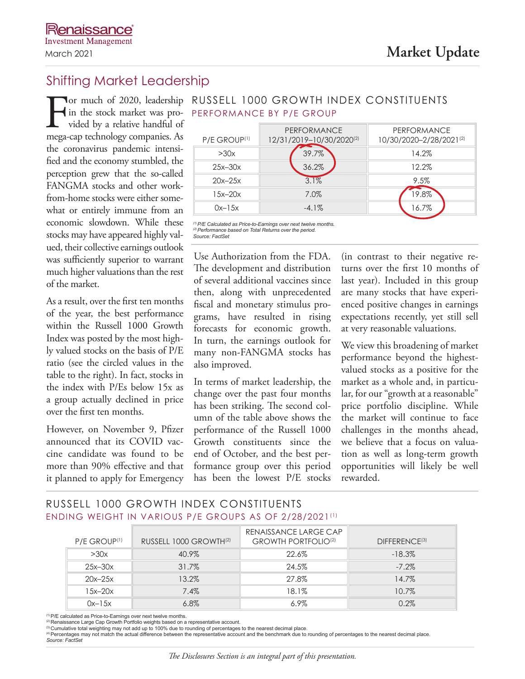# Shifting Market Leadership

For much of 2020, leadership<br>in the stock market was pro-<br>vided by a relative handful of<br>mega-cap technology companies. As vided by a relative handful of mega-cap technology companies. As the coronavirus pandemic intensified and the economy stumbled, the perception grew that the so-called FANGMA stocks and other workfrom-home stocks were either somewhat or entirely immune from an economic slowdown. While these stocks may have appeared highly valued, their collective earnings outlook was sufficiently superior to warrant much higher valuations than the rest of the market.

As a result, over the first ten months of the year, the best performance within the Russell 1000 Growth Index was posted by the most highly valued stocks on the basis of P/E ratio (see the circled values in the table to the right). In fact, stocks in the index with P/Es below 15x as a group actually declined in price over the first ten months.

However, on November 9, Pfizer announced that its COVID vaccine candidate was found to be more than 90% effective and that it planned to apply for Emergency

|                          | PERFORMANCE              | PERFORMANCE             |  |
|--------------------------|--------------------------|-------------------------|--|
| P/E GROUP <sup>(1)</sup> | 12/31/2019-10/30/2020(2) | 10/30/2020-2/28/2021(2) |  |
| >30x                     | 39.7%                    | 14.2%                   |  |
| $25x-30x$                | 36.2%                    | 12.2%                   |  |
| $20x-25x$                | 3.1%                     | 9.5%                    |  |
| $15x-20x$                | 7.0%                     | 19.8%                   |  |
| $0x-15x$                 | $-4.1\%$                 | 16.7%                   |  |

in the stock market was pro-PERFORMANCE BY P/E GROUP **Tor much of 2020, leadership RUSSELL 1000 GROWTH INDEX CONSTITUENTS** 

*(1)P/E Calculated as Price-to-Earnings over next twelve months. (2)Performance based on Total Returns over the period. Source: FactSet*

Use Authorization from the FDA. The development and distribution of several additional vaccines since then, along with unprecedented fiscal and monetary stimulus programs, have resulted in rising forecasts for economic growth. In turn, the earnings outlook for many non-FANGMA stocks has also improved.

In terms of market leadership, the change over the past four months has been striking. The second column of the table above shows the performance of the Russell 1000 Growth constituents since the end of October, and the best performance group over this period has been the lowest P/E stocks (in contrast to their negative returns over the first 10 months of last year). Included in this group are many stocks that have experienced positive changes in earnings expectations recently, yet still sell at very reasonable valuations.

We view this broadening of market performance beyond the highestvalued stocks as a positive for the market as a whole and, in particular, for our "growth at a reasonable" price portfolio discipline. While the market will continue to face challenges in the months ahead, we believe that a focus on valuation as well as long-term growth opportunities will likely be well rewarded.

## RUSSELL 1000 GROWTH INDEX CONSTITUENTS ENDING WEIGHT IN VARIOUS P/E GROUPS AS OF 2/28/2021(1)

| P/E GROUP <sup>(1)</sup> | RUSSELL 1000 GROWTH <sup>(2)</sup> | RENAISSANCE LARGE CAP<br><b>GROWTH PORTFOLIO<sup>(2)</sup></b> | $D$ IFFERENCE <sup>(3)</sup> |
|--------------------------|------------------------------------|----------------------------------------------------------------|------------------------------|
| >30x                     | 40.9%                              | 22.6%                                                          | $-18.3%$                     |
| $25x-30x$                | 31.7%                              | 24.5%                                                          | $-7.2\%$                     |
| $20x-25x$                | 13.2%                              | 27.8%                                                          | 14.7%                        |
| $15x-20x$                | 7.4%                               | 18.1%                                                          | 10.7%                        |
| $0x-15x$                 | $6.8\%$                            | $6.9\%$                                                        | 0.2%                         |

(1)P/E calculated as Price-to-Earnings over next twelve months.

(2) Renaissance Large Cap Growth Portfolio weights based on a representative account.

® Cumulative total weighting may not add up to 100% due to rounding of percentages to the nearest decimal place.<br>® Percentages may not match the actual difference between the representative account and the benchmark due t *Source: FactSet*